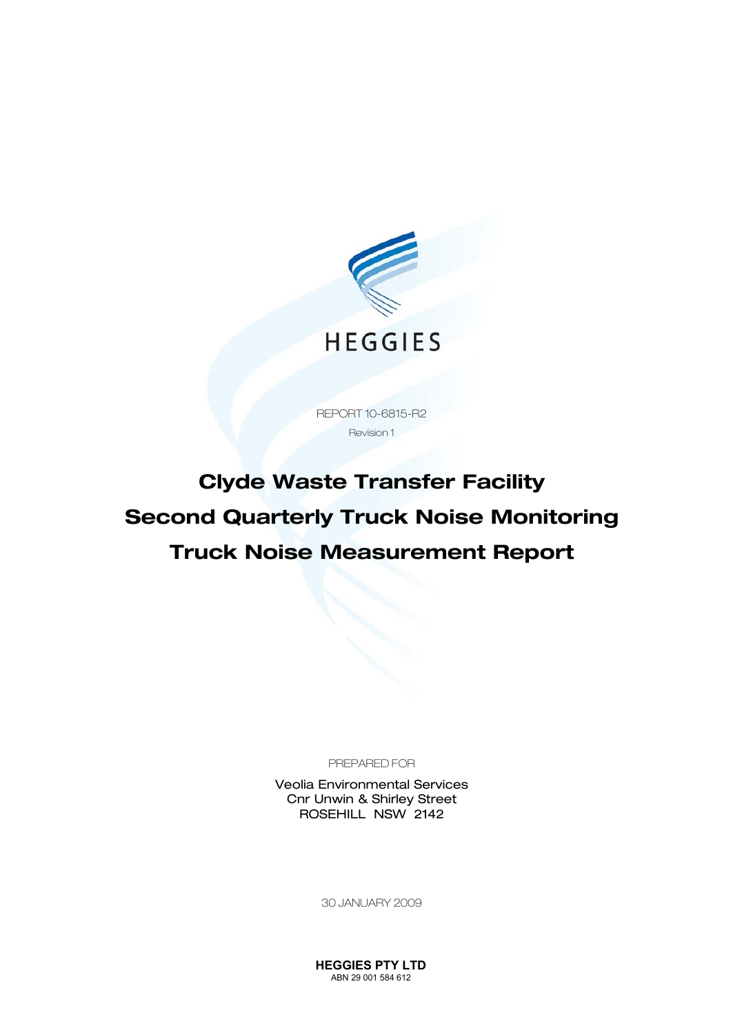

REPORT 10-6815-R2 Revision 1

# Clyde Waste Transfer Facility Second Quarterly Truck Noise Monitoring Truck Noise Measurement Report

PREPARED FOR

Veolia Environmental Services Cnr Unwin & Shirley Street ROSEHILL NSW 2142

30 JANUARY 2009

**HEGGIES PTY LTD**  ABN 29 001 584 612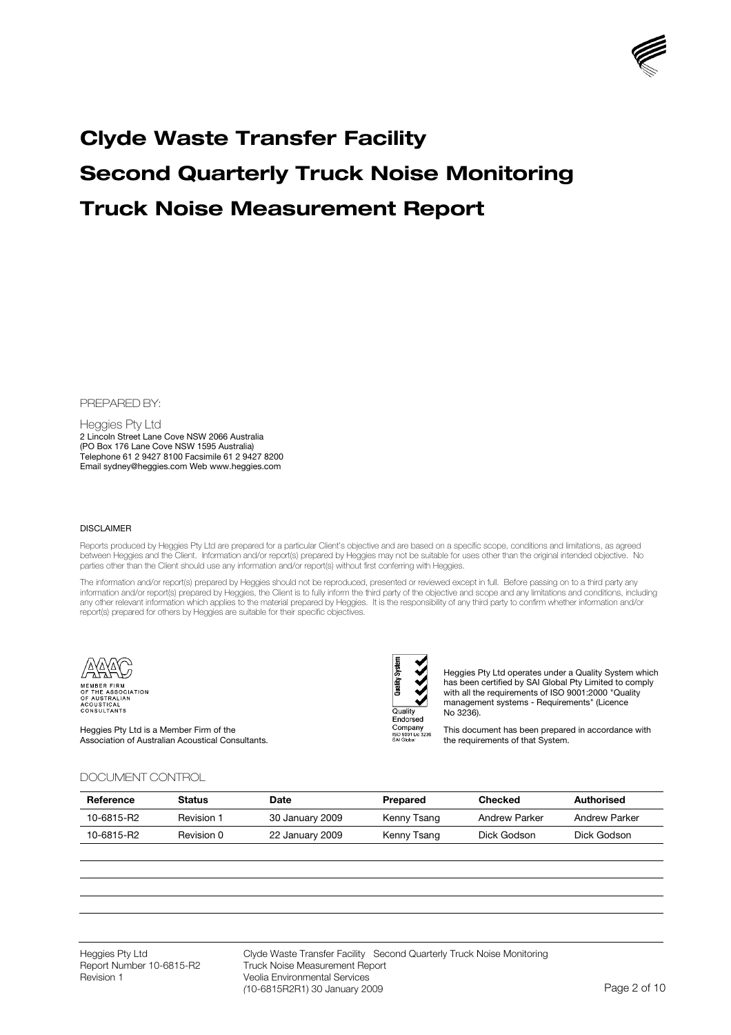

# Clyde Waste Transfer Facility Second Quarterly Truck Noise Monitoring Truck Noise Measurement Report

PREPARED BY:

Heggies Pty Ltd 2 Lincoln Street Lane Cove NSW 2066 Australia (PO Box 176 Lane Cove NSW 1595 Australia) Telephone 61 2 9427 8100 Facsimile 61 2 9427 8200 Email sydney@heggies.com Web www.heggies.com

#### DISCLAIMER

Reports produced by Heggies Pty Ltd are prepared for a particular Client's objective and are based on a specific scope, conditions and limitations, as agreed<br>between Heggies and the Client. Information and/or report(s) pr parties other than the Client should use any information and/or report(s) without first conferring with Heggies.

The information and/or report(s) prepared by Heggies should not be reproduced, presented or reviewed except in full. Before passing on to a third party any information and/or report(s) prepared by Heggies, the Client is to fully inform the third party of the objective and scope and any limitations and conditions, including any other relevant information which applies to the material prepared by Heggies. It is the responsibility of any third party to confirm whether information and/or report(s) prepared for others by Heggies are suitable for their specific objectives.



ME ME READ MANUSCRIPTION<br>OF THE ASSOCIATION<br>OF THE ASSOCIATION<br>ACOUSTICAL<br>CONSULTANTS

Heggies Pty Ltd is a Member Firm of the Association of Australian Acoustical Consultants.

#### DOCUMENT CONTROL

| Quality  |                   |
|----------|-------------------|
| Endorsed |                   |
| Company  |                   |
| CALCIANO | ISO 9001 Lic 3236 |
|          |                   |

Heggies Pty Ltd operates under a Quality System which has been certified by SAI Global Pty Limited to comply with all the requirements of ISO 9001:2000 "Quality management systems - Requirements" (Licence No 3236).

This document has been prepared in accordance with the requirements of that System.

| Reference  | Status     | Date            | Prepared    | <b>Checked</b>       | Authorised    |
|------------|------------|-----------------|-------------|----------------------|---------------|
| 10-6815-R2 | Revision 1 | 30 January 2009 | Kenny Tsang | <b>Andrew Parker</b> | Andrew Parker |
| 10-6815-R2 | Revision 0 | 22 January 2009 | Kenny Tsang | Dick Godson          | Dick Godson   |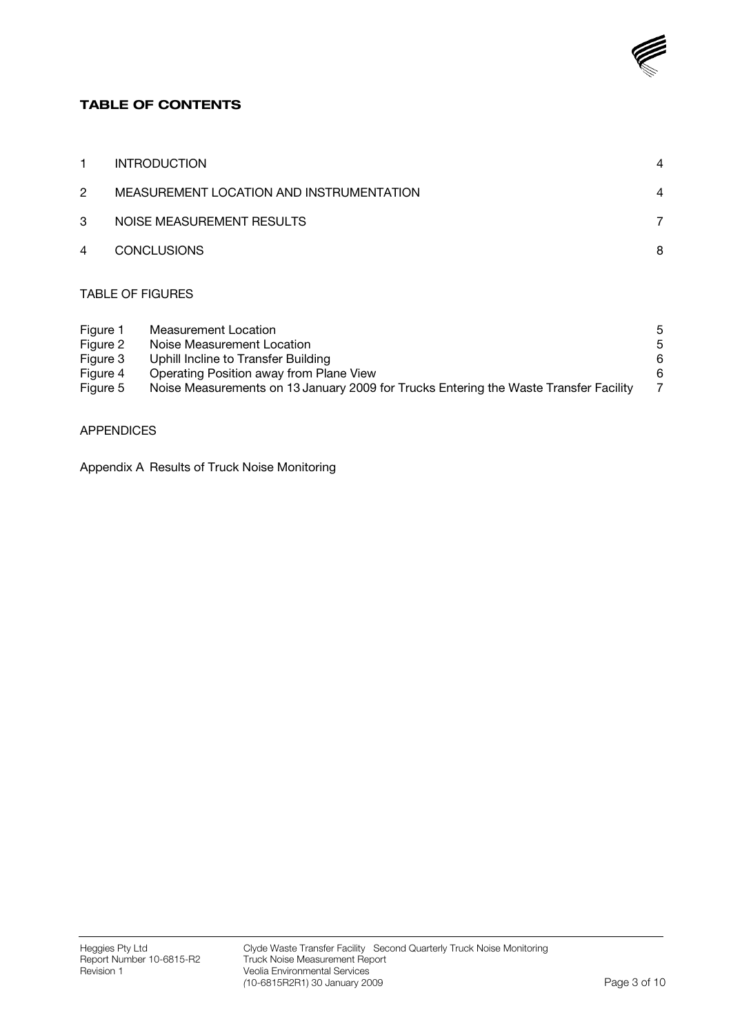

#### TABLE OF CONTENTS

| 1        | <b>INTRODUCTION</b>                                                                   | 4              |
|----------|---------------------------------------------------------------------------------------|----------------|
| 2        | MEASUREMENT LOCATION AND INSTRUMENTATION                                              | 4              |
| 3        | NOISE MEASUREMENT RESULTS                                                             | 7              |
| 4        | <b>CONCLUSIONS</b>                                                                    | 8              |
|          | <b>TABLE OF FIGURES</b>                                                               |                |
| Figure 1 | <b>Measurement Location</b>                                                           | 5              |
| Figure 2 | Noise Measurement Location                                                            | 5              |
| Figure 3 | Uphill Incline to Transfer Building                                                   | 6              |
| Figure 4 | Operating Position away from Plane View                                               | 6              |
| Figure 5 | Noise Measurements on 13 January 2009 for Trucks Entering the Waste Transfer Facility | $\overline{7}$ |

#### APPENDICES

Appendix A Results of Truck Noise Monitoring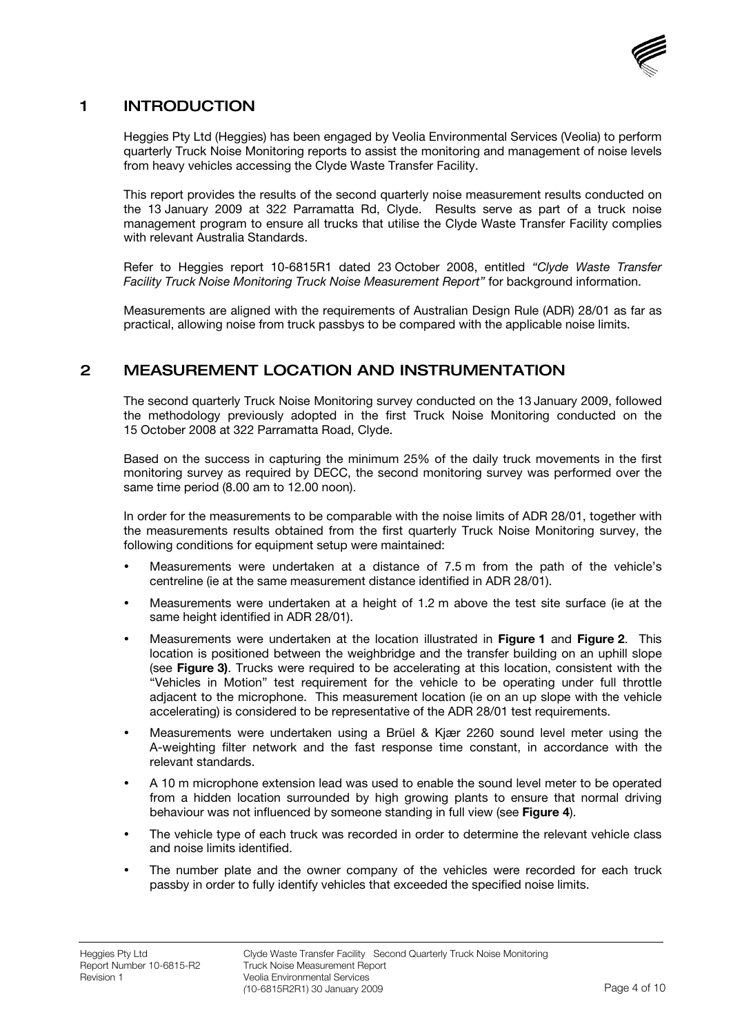

## 1 INTRODUCTION

Heggies Pty Ltd (Heggies) has been engaged by Veolia Environmental Services (Veolia) to perform quarterly Truck Noise Monitoring reports to assist the monitoring and management of noise levels from heavy vehicles accessing the Clyde Waste Transfer Facility.

This report provides the results of the second quarterly noise measurement results conducted on the 13 January 2009 at 322 Parramatta Rd, Clyde. Results serve as part of a truck noise management program to ensure all trucks that utilise the Clyde Waste Transfer Facility complies with relevant Australia Standards.

Refer to Heggies report 10-6815R1 dated 23 October 2008, entitled "Clyde Waste Transfer Facility Truck Noise Monitoring Truck Noise Measurement Report" for background information.

Measurements are aligned with the requirements of Australian Design Rule (ADR) 28/01 as far as practical, allowing noise from truck passbys to be compared with the applicable noise limits.

## 2 MEASUREMENT LOCATION AND INSTRUMENTATION

The second quarterly Truck Noise Monitoring survey conducted on the 13 January 2009, followed the methodology previously adopted in the first Truck Noise Monitoring conducted on the 15 October 2008 at 322 Parramatta Road, Clyde.

Based on the success in capturing the minimum 25% of the daily truck movements in the first monitoring survey as required by DECC, the second monitoring survey was performed over the same time period (8.00 am to 12.00 noon).

In order for the measurements to be comparable with the noise limits of ADR 28/01, together with the measurements results obtained from the first quarterly Truck Noise Monitoring survey, the following conditions for equipment setup were maintained:

- Measurements were undertaken at a distance of 7.5 m from the path of the vehicle's centreline (ie at the same measurement distance identified in ADR 28/01).
- Measurements were undertaken at a height of 1.2 m above the test site surface (ie at the same height identified in ADR 28/01).
- Measurements were undertaken at the location illustrated in Figure 1 and Figure 2. This location is positioned between the weighbridge and the transfer building on an uphill slope (see Figure 3). Trucks were required to be accelerating at this location, consistent with the "Vehicles in Motion" test requirement for the vehicle to be operating under full throttle adjacent to the microphone. This measurement location (ie on an up slope with the vehicle accelerating) is considered to be representative of the ADR 28/01 test requirements.
- Measurements were undertaken using a Brüel & Kjær 2260 sound level meter using the A-weighting filter network and the fast response time constant, in accordance with the relevant standards.
- A 10 m microphone extension lead was used to enable the sound level meter to be operated from a hidden location surrounded by high growing plants to ensure that normal driving behaviour was not influenced by someone standing in full view (see Figure 4).
- The vehicle type of each truck was recorded in order to determine the relevant vehicle class and noise limits identified.
- The number plate and the owner company of the vehicles were recorded for each truck passby in order to fully identify vehicles that exceeded the specified noise limits.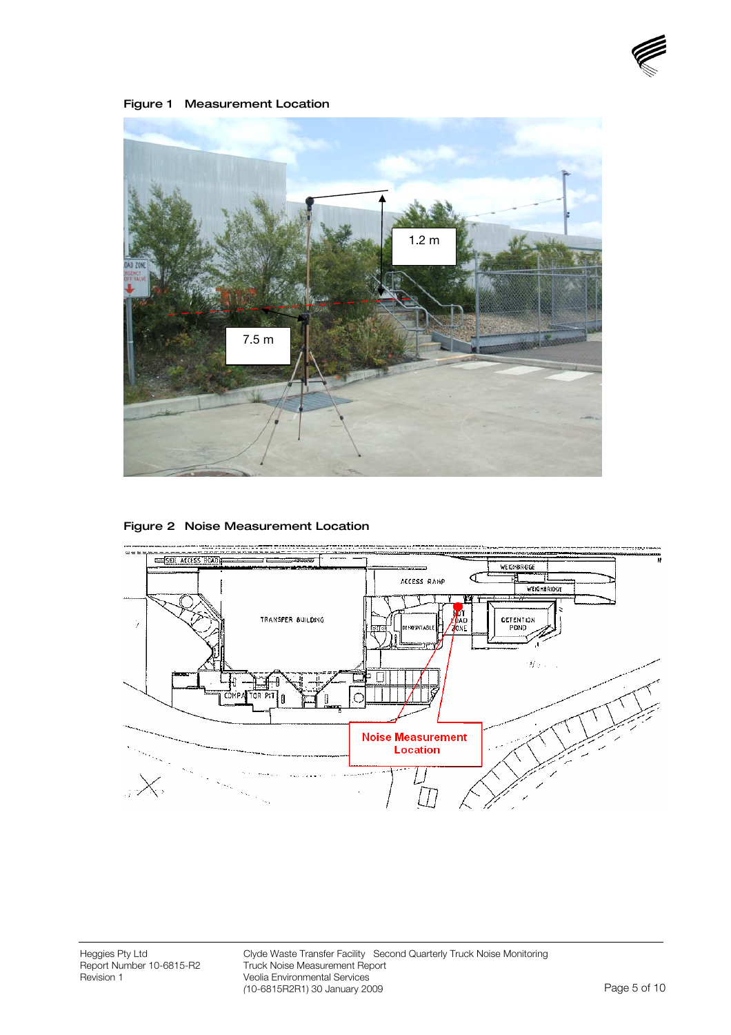

Figure 1 Measurement Location



Figure 2 Noise Measurement Location



Clyde Waste Transfer Facility Second Quarterly Truck Noise Monitoring Truck Noise Measurement Report Veolia Environmental Services (10-6815R2R1) 30 January 2009 Page 5 of 10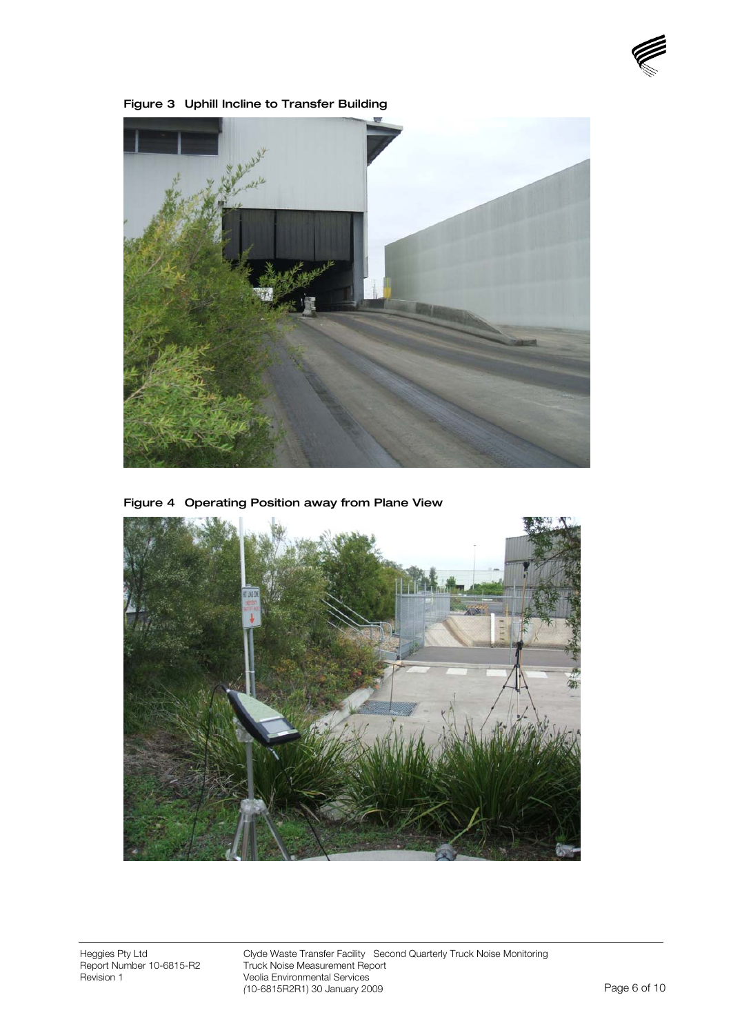



Figure 3 Uphill Incline to Transfer Building

Figure 4 Operating Position away from Plane View

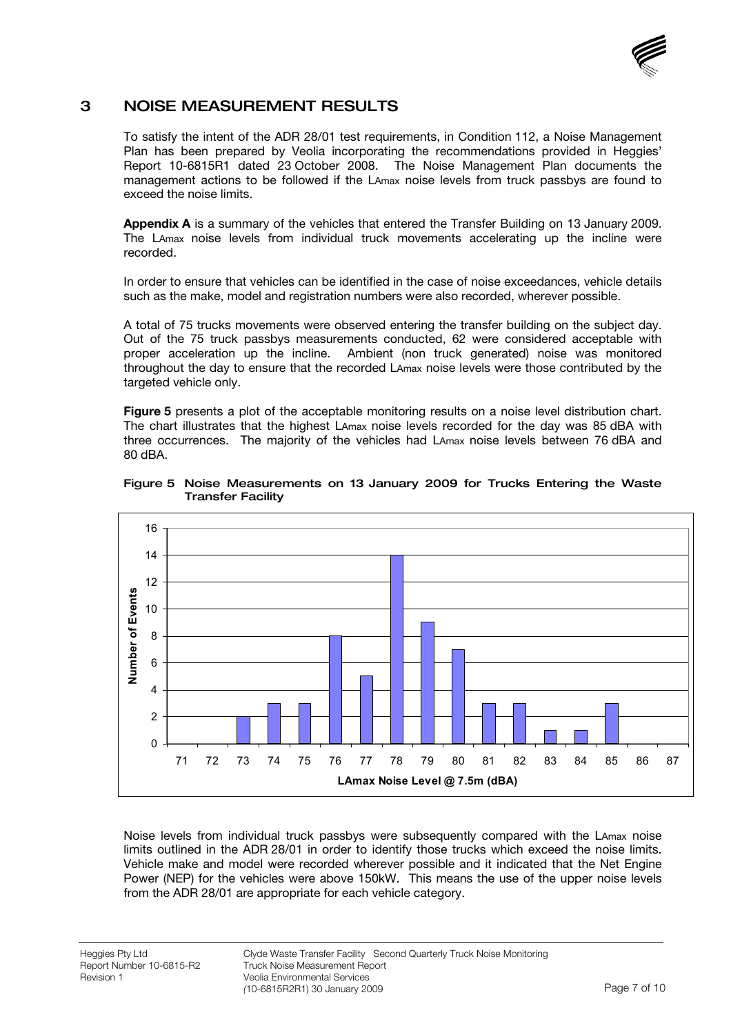

## 3 NOISE MEASUREMENT RESULTS

To satisfy the intent of the ADR 28/01 test requirements, in Condition 112, a Noise Management Plan has been prepared by Veolia incorporating the recommendations provided in Heggies' Report 10-6815R1 dated 23 October 2008. The Noise Management Plan documents the management actions to be followed if the LAmax noise levels from truck passbys are found to exceed the noise limits.

Appendix A is a summary of the vehicles that entered the Transfer Building on 13 January 2009. The LAmax noise levels from individual truck movements accelerating up the incline were recorded.

In order to ensure that vehicles can be identified in the case of noise exceedances, vehicle details such as the make, model and registration numbers were also recorded, wherever possible.

A total of 75 trucks movements were observed entering the transfer building on the subject day. Out of the 75 truck passbys measurements conducted, 62 were considered acceptable with proper acceleration up the incline. Ambient (non truck generated) noise was monitored throughout the day to ensure that the recorded LAmax noise levels were those contributed by the targeted vehicle only.

Figure 5 presents a plot of the acceptable monitoring results on a noise level distribution chart. The chart illustrates that the highest LAmax noise levels recorded for the day was 85 dBA with three occurrences. The majority of the vehicles had LAmax noise levels between 76 dBA and 80 dBA.



Figure 5 Noise Measurements on 13 January 2009 for Trucks Entering the Waste Transfer Facility

Noise levels from individual truck passbys were subsequently compared with the LAmax noise limits outlined in the ADR 28/01 in order to identify those trucks which exceed the noise limits. Vehicle make and model were recorded wherever possible and it indicated that the Net Engine Power (NEP) for the vehicles were above 150kW. This means the use of the upper noise levels from the ADR 28/01 are appropriate for each vehicle category.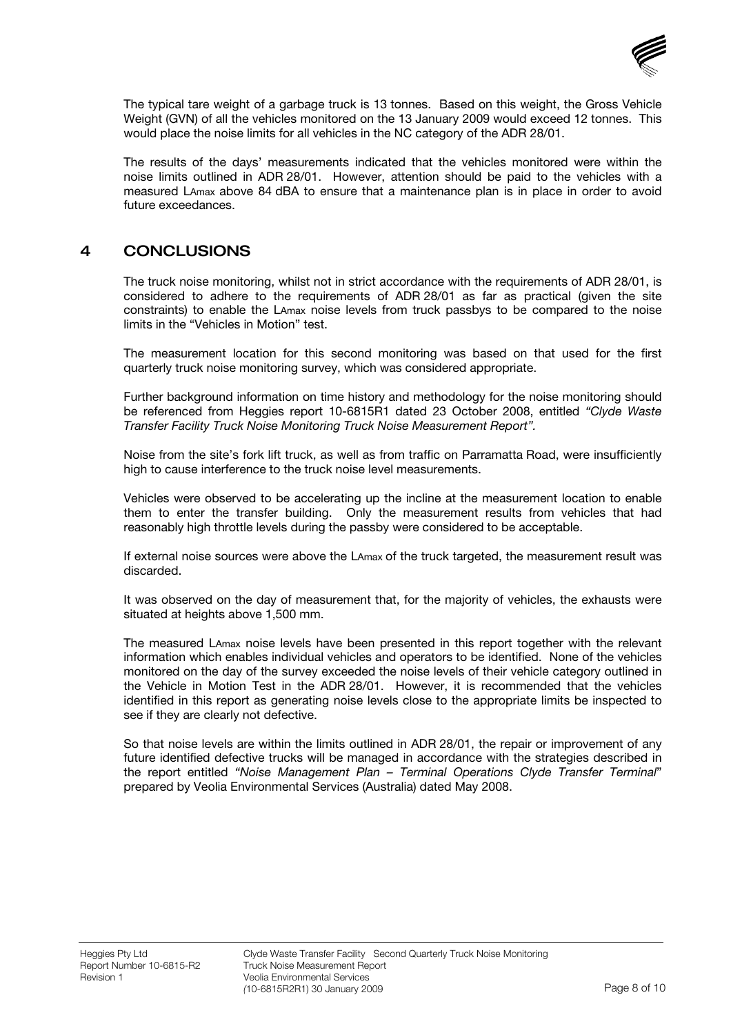

The typical tare weight of a garbage truck is 13 tonnes. Based on this weight, the Gross Vehicle Weight (GVN) of all the vehicles monitored on the 13 January 2009 would exceed 12 tonnes. This would place the noise limits for all vehicles in the NC category of the ADR 28/01.

The results of the days' measurements indicated that the vehicles monitored were within the noise limits outlined in ADR 28/01. However, attention should be paid to the vehicles with a measured LAmax above 84 dBA to ensure that a maintenance plan is in place in order to avoid future exceedances.

#### 4 CONCLUSIONS

The truck noise monitoring, whilst not in strict accordance with the requirements of ADR 28/01, is considered to adhere to the requirements of ADR 28/01 as far as practical (given the site constraints) to enable the LAmax noise levels from truck passbys to be compared to the noise limits in the "Vehicles in Motion" test.

The measurement location for this second monitoring was based on that used for the first quarterly truck noise monitoring survey, which was considered appropriate.

Further background information on time history and methodology for the noise monitoring should be referenced from Heggies report 10-6815R1 dated 23 October 2008, entitled "Clyde Waste Transfer Facility Truck Noise Monitoring Truck Noise Measurement Report".

Noise from the site's fork lift truck, as well as from traffic on Parramatta Road, were insufficiently high to cause interference to the truck noise level measurements.

Vehicles were observed to be accelerating up the incline at the measurement location to enable them to enter the transfer building. Only the measurement results from vehicles that had reasonably high throttle levels during the passby were considered to be acceptable.

If external noise sources were above the LAmax of the truck targeted, the measurement result was discarded.

It was observed on the day of measurement that, for the majority of vehicles, the exhausts were situated at heights above 1,500 mm.

The measured LAmax noise levels have been presented in this report together with the relevant information which enables individual vehicles and operators to be identified. None of the vehicles monitored on the day of the survey exceeded the noise levels of their vehicle category outlined in the Vehicle in Motion Test in the ADR 28/01. However, it is recommended that the vehicles identified in this report as generating noise levels close to the appropriate limits be inspected to see if they are clearly not defective.

So that noise levels are within the limits outlined in ADR 28/01, the repair or improvement of any future identified defective trucks will be managed in accordance with the strategies described in the report entitled "Noise Management Plan – Terminal Operations Clyde Transfer Terminal" prepared by Veolia Environmental Services (Australia) dated May 2008.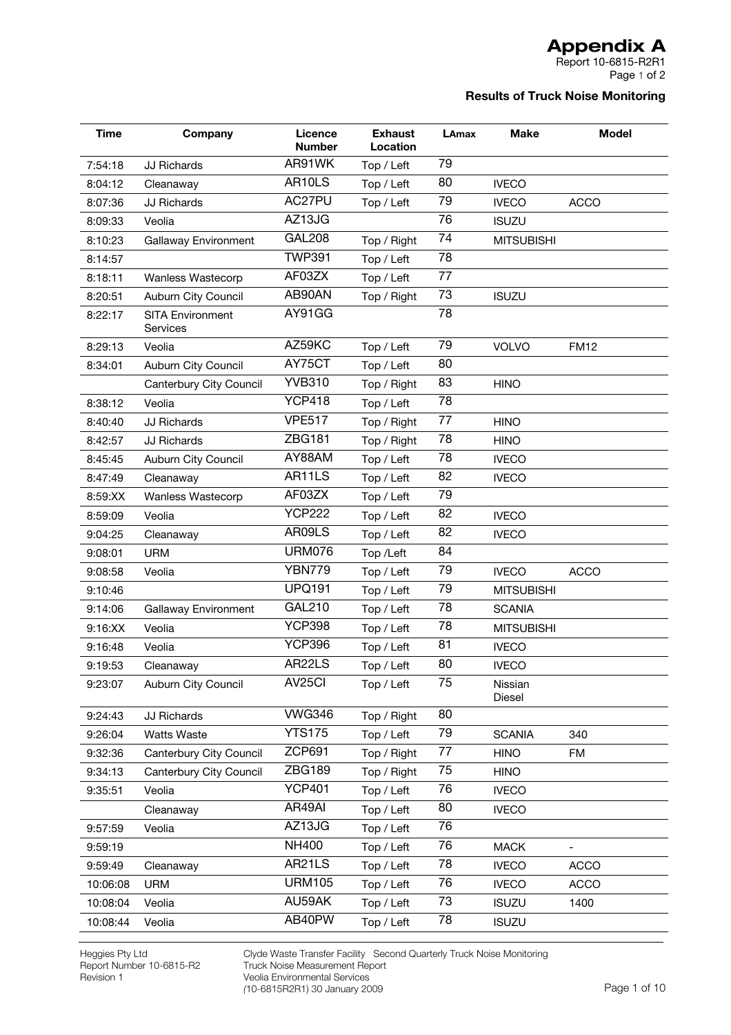# Appendix A

Report 10-6815-R2R1 Page 1 of 2

#### Results of Truck Noise Monitoring

| <b>Time</b> | Company                             | Licence<br><b>Number</b> | <b>Exhaust</b><br>Location | <b>LAmax</b> | <b>Make</b>       | <b>Model</b> |
|-------------|-------------------------------------|--------------------------|----------------------------|--------------|-------------------|--------------|
| 7:54:18     | <b>JJ Richards</b>                  | AR91WK                   | Top / Left                 | 79           |                   |              |
| 8:04:12     | Cleanaway                           | AR10LS                   | Top / Left                 | 80           | <b>IVECO</b>      |              |
| 8:07:36     | <b>JJ Richards</b>                  | AC27PU                   | Top / Left                 | 79           | <b>IVECO</b>      | <b>ACCO</b>  |
| 8:09:33     | Veolia                              | AZ13JG                   |                            | 76           | <b>ISUZU</b>      |              |
| 8:10:23     | Gallaway Environment                | <b>GAL208</b>            | Top / Right                | 74           | <b>MITSUBISHI</b> |              |
| 8:14:57     |                                     | <b>TWP391</b>            | Top / Left                 | 78           |                   |              |
| 8:18:11     | Wanless Wastecorp                   | AF03ZX                   | Top / Left                 | 77           |                   |              |
| 8:20:51     | <b>Auburn City Council</b>          | AB90AN                   | Top / Right                | 73           | <b>ISUZU</b>      |              |
| 8:22:17     | <b>SITA Environment</b><br>Services | AY91GG                   |                            | 78           |                   |              |
| 8:29:13     | Veolia                              | AZ59KC                   | Top / Left                 | 79           | <b>VOLVO</b>      | <b>FM12</b>  |
| 8:34:01     | Auburn City Council                 | AY75CT                   | Top / Left                 | 80           |                   |              |
|             | Canterbury City Council             | <b>YVB310</b>            | Top / Right                | 83           | <b>HINO</b>       |              |
| 8:38:12     | Veolia                              | <b>YCP418</b>            | Top / Left                 | 78           |                   |              |
| 8:40:40     | <b>JJ Richards</b>                  | <b>VPE517</b>            | Top / Right                | 77           | <b>HINO</b>       |              |
| 8:42:57     | JJ Richards                         | <b>ZBG181</b>            | Top / Right                | 78           | <b>HINO</b>       |              |
| 8:45:45     | Auburn City Council                 | AY88AM                   | Top / Left                 | 78           | <b>IVECO</b>      |              |
| 8:47:49     | Cleanaway                           | AR11LS                   | Top / Left                 | 82           | <b>IVECO</b>      |              |
| 8:59:XX     | Wanless Wastecorp                   | AF03ZX                   | Top / Left                 | 79           |                   |              |
| 8:59:09     | Veolia                              | YCP222                   | Top / Left                 | 82           | <b>IVECO</b>      |              |
| 9:04:25     | Cleanaway                           | AR09LS                   | Top / Left                 | 82           | <b>IVECO</b>      |              |
| 9:08:01     | <b>URM</b>                          | <b>URM076</b>            | Top /Left                  | 84           |                   |              |
| 9:08:58     | Veolia                              | <b>YBN779</b>            | Top / Left                 | 79           | <b>IVECO</b>      | <b>ACCO</b>  |
| 9:10:46     |                                     | <b>UPQ191</b>            | Top / Left                 | 79           | <b>MITSUBISHI</b> |              |
| 9:14:06     | Gallaway Environment                | <b>GAL210</b>            | Top / Left                 | 78           | <b>SCANIA</b>     |              |
| 9:16:XX     | Veolia                              | <b>YCP398</b>            | Top / Left                 | 78           | <b>MITSUBISHI</b> |              |
| 9:16:48     | Veolia                              | <b>YCP396</b>            | Top / Left                 | 81           | <b>IVECO</b>      |              |
| 9:19:53     | Cleanaway                           | AR22LS                   | Top / Left                 | 80           | <b>IVECO</b>      |              |
| 9:23:07     | Auburn City Council                 | AV <sub>25Cl</sub>       | Top / Left                 | 75           | Nissian<br>Diesel |              |
| 9:24:43     | JJ Richards                         | <b>VWG346</b>            | Top / Right                | 80           |                   |              |
| 9:26:04     | Watts Waste                         | <b>YTS175</b>            | Top / Left                 | 79           | <b>SCANIA</b>     | 340          |
| 9:32:36     | Canterbury City Council             | ZCP691                   | Top / Right                | 77           | <b>HINO</b>       | <b>FM</b>    |
| 9:34:13     | Canterbury City Council             | ZBG189                   | Top / Right                | 75           | <b>HINO</b>       |              |
| 9:35:51     | Veolia                              | <b>YCP401</b>            | Top / Left                 | 76           | <b>IVECO</b>      |              |
|             | Cleanaway                           | AR49AI                   | Top / Left                 | 80           | <b>IVECO</b>      |              |
| 9:57:59     | Veolia                              | AZ13JG                   | Top / Left                 | 76           |                   |              |
| 9:59:19     |                                     | <b>NH400</b>             | Top / Left                 | 76           | <b>MACK</b>       |              |
| 9:59:49     | Cleanaway                           | AR21LS                   | Top / Left                 | 78           | <b>IVECO</b>      | <b>ACCO</b>  |
| 10:06:08    | <b>URM</b>                          | <b>URM105</b>            | Top / Left                 | 76           | <b>IVECO</b>      | <b>ACCO</b>  |
| 10:08:04    | Veolia                              | AU59AK                   | Top / Left                 | 73           | <b>ISUZU</b>      | 1400         |
| 10:08:44    | Veolia                              | AB40PW                   | Top / Left                 | 78           | <b>ISUZU</b>      |              |

Heggies Pty Ltd Report Number 10-6815-R2 Revision 1

Clyde Waste Transfer Facility Second Quarterly Truck Noise Monitoring Truck Noise Measurement Report Veolia Environmental Services (10-6815R2R1) 30 January 2009 Page 1 of 10